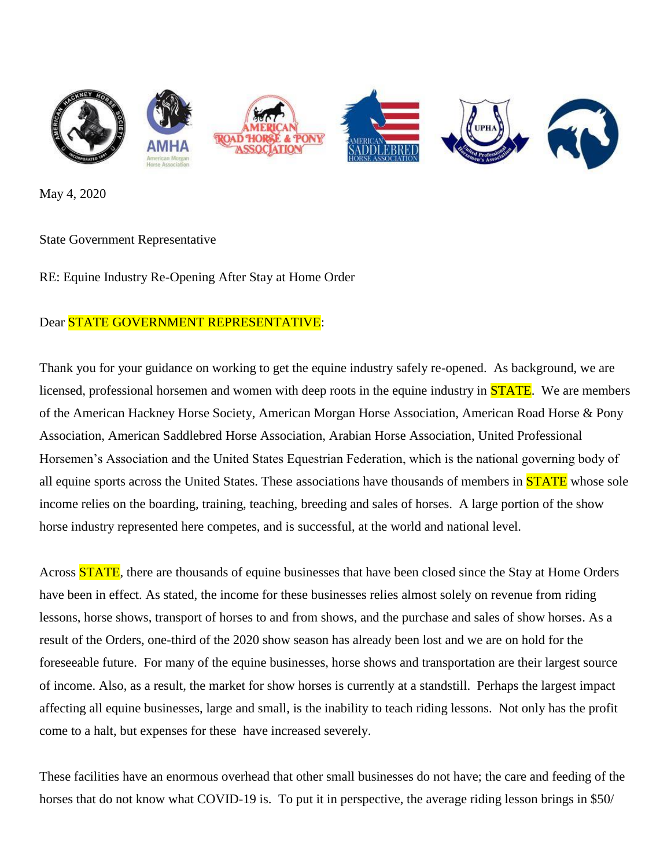

May 4, 2020

## State Government Representative

RE: Equine Industry Re-Opening After Stay at Home Order

## Dear **STATE GOVERNMENT REPRESENTATIVE:**

Thank you for your guidance on working to get the equine industry safely re-opened. As background, we are licensed, professional horsemen and women with deep roots in the equine industry in **STATE**. We are members of the American Hackney Horse Society, American Morgan Horse Association, American Road Horse & Pony Association, American Saddlebred Horse Association, Arabian Horse Association, United Professional Horsemen's Association and the United States Equestrian Federation, which is the national governing body of all equine sports across the United States. These associations have thousands of members in **STATE** whose sole income relies on the boarding, training, teaching, breeding and sales of horses. A large portion of the show horse industry represented here competes, and is successful, at the world and national level.

Across **STATE**, there are thousands of equine businesses that have been closed since the Stay at Home Orders have been in effect. As stated, the income for these businesses relies almost solely on revenue from riding lessons, horse shows, transport of horses to and from shows, and the purchase and sales of show horses. As a result of the Orders, one-third of the 2020 show season has already been lost and we are on hold for the foreseeable future. For many of the equine businesses, horse shows and transportation are their largest source of income. Also, as a result, the market for show horses is currently at a standstill. Perhaps the largest impact affecting all equine businesses, large and small, is the inability to teach riding lessons. Not only has the profit come to a halt, but expenses for these have increased severely.

These facilities have an enormous overhead that other small businesses do not have; the care and feeding of the horses that do not know what COVID-19 is. To put it in perspective, the average riding lesson brings in \$50/